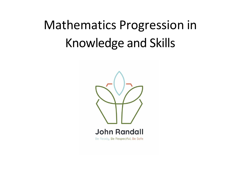# Mathematics Progression in Knowledge and Skills

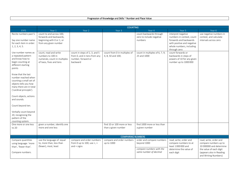| Number and Place Value<br>. and Skills<br>aladaa and i<br>Progression<br>: Knowledge<br>$. \nabla$<br>. |
|---------------------------------------------------------------------------------------------------------|
| . .                                                                                                     |
|                                                                                                         |

|                                                                                                                                                     | <b>COUNTING</b>                                                                                           |                                                                                                 |                                                   |                                                                      |                                                                                                                                                     |                                                                             |  |  |
|-----------------------------------------------------------------------------------------------------------------------------------------------------|-----------------------------------------------------------------------------------------------------------|-------------------------------------------------------------------------------------------------|---------------------------------------------------|----------------------------------------------------------------------|-----------------------------------------------------------------------------------------------------------------------------------------------------|-----------------------------------------------------------------------------|--|--|
| <b>EYFS</b>                                                                                                                                         | Year 1                                                                                                    | Year 2                                                                                          | Year 3                                            | Year 4                                                               | Year 5                                                                                                                                              | Year <sub>6</sub>                                                           |  |  |
| Recite numbers past 5.<br>Say one number name<br>for each item in order:<br>1, 2, 3, 4, 5.                                                          | count to and across 100,<br>forwards and backwards,<br>beginning with 0 or 1, or<br>from any given number |                                                                                                 |                                                   | count backwards through<br>zero to include negative<br>numbers       | interpret negative<br>numbers in context, count<br>forwards and backwards<br>with positive and negative<br>whole numbers, including<br>through zero | use negative numbers in<br>context, and calculate<br>intervals across zero  |  |  |
| Use number names as<br>a repeated pattern<br>and know how to<br>begin counting at<br>different starting<br>points                                   | count, read and write<br>numbers to 100 in<br>numerals; count in multiples<br>of twos, fives and tens     | count in steps of 2, 3, and 5<br>from 0, and in tens from any<br>number, forward or<br>backward | count from 0 in multiples of<br>4, 8, 50 and 100; | count in multiples of 6, 7, 9,<br>25 and 1000                        | count forwards or<br>backwards in steps of<br>powers of 10 for any given<br>number up to 1000000                                                    |                                                                             |  |  |
| Know that the last<br>number reached when<br>counting a small set of<br>objects tells you how<br>many there are in total<br>('cardinal principle'). |                                                                                                           |                                                                                                 |                                                   |                                                                      |                                                                                                                                                     |                                                                             |  |  |
| Count objects, actions<br>and sounds.                                                                                                               |                                                                                                           |                                                                                                 |                                                   |                                                                      |                                                                                                                                                     |                                                                             |  |  |
| Count beyond ten.                                                                                                                                   |                                                                                                           |                                                                                                 |                                                   |                                                                      |                                                                                                                                                     |                                                                             |  |  |
| Verbally count beyond<br>20, recognising the<br>pattern of the<br>counting system.                                                                  |                                                                                                           |                                                                                                 |                                                   |                                                                      |                                                                                                                                                     |                                                                             |  |  |
| One more or one less                                                                                                                                | given a number, identify one                                                                              |                                                                                                 | find 10 or 100 more or less                       | find 1000 more or less than                                          |                                                                                                                                                     |                                                                             |  |  |
| to 20                                                                                                                                               | more and one less                                                                                         |                                                                                                 | than a given number                               | a given number                                                       |                                                                                                                                                     |                                                                             |  |  |
|                                                                                                                                                     |                                                                                                           |                                                                                                 |                                                   |                                                                      |                                                                                                                                                     |                                                                             |  |  |
|                                                                                                                                                     |                                                                                                           |                                                                                                 | <b>COMPARING NUMBERS</b>                          |                                                                      |                                                                                                                                                     |                                                                             |  |  |
| Compare quantities<br>using language: 'more<br>than', 'fewer than'.                                                                                 | use the language of: equal<br>to, more than, less than<br>(fewer), most, least                            | compare and order numbers<br>from 0 up to 100; use $\lt$ , $>$<br>and $=$ signs                 | compare and order numbers<br>up to 1000           | order and compare numbers<br>beyond 1000<br>compare numbers with the | read, write, order and<br>compare numbers to at<br>least 1000000 and<br>determine the value of                                                      | read, write, order and<br>compare numbers up to<br>10 000000 and determine  |  |  |
| Compare numbers.                                                                                                                                    |                                                                                                           |                                                                                                 |                                                   | same number of decimal                                               | each digit                                                                                                                                          | the value of each digit<br>(appears also in Reading<br>and Writing Numbers) |  |  |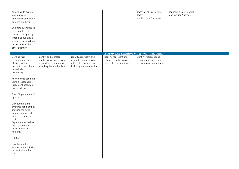| Know how to explore<br>similarities and<br>differences between 2<br>or more numbers<br>Compare quantities up<br>to 10 in different<br>contexts, recognising<br>when one quantity is<br>greater than, less than<br>or the same as the<br>other quantity. |                                                                                                               |                                                                                                              |                                                                                | places up to two decimal<br>places<br>(copied from Fractions)                  | (appears also in Reading<br>and Writing Numbers) |  |
|---------------------------------------------------------------------------------------------------------------------------------------------------------------------------------------------------------------------------------------------------------|---------------------------------------------------------------------------------------------------------------|--------------------------------------------------------------------------------------------------------------|--------------------------------------------------------------------------------|--------------------------------------------------------------------------------|--------------------------------------------------|--|
|                                                                                                                                                                                                                                                         |                                                                                                               |                                                                                                              | IDENTIFYING, REPRESENTING AND ESTIMATING NUMBERS                               |                                                                                |                                                  |  |
| Develop fast<br>recognition of up to 3<br>objects, without<br>having to count them<br>individually<br>('subitising').                                                                                                                                   | identify and represent<br>numbers using objects and<br>pictorial representations<br>including the number line | identify, represent and<br>estimate numbers using<br>different representations,<br>including the number line | identify, represent and<br>estimate numbers using<br>different representations | identify, represent and<br>estimate numbers using<br>different representations |                                                  |  |
| Know how to estimate<br>using a reasonable<br>judgement based on<br>my knowledge                                                                                                                                                                        |                                                                                                               |                                                                                                              |                                                                                |                                                                                |                                                  |  |
| Show 'finger numbers'<br>up to 5.                                                                                                                                                                                                                       |                                                                                                               |                                                                                                              |                                                                                |                                                                                |                                                  |  |
| Link numerals and<br>amounts: for example,<br>showing the right<br>number of objects to<br>match the numeral, up<br>to 5.<br>Experiment with their<br>own symbols and<br>marks as well as<br>numerals.                                                  |                                                                                                               |                                                                                                              |                                                                                |                                                                                |                                                  |  |
| Subitise.                                                                                                                                                                                                                                               |                                                                                                               |                                                                                                              |                                                                                |                                                                                |                                                  |  |
| Link the number<br>symbol (numeral) with<br>its cardinal number<br>value.                                                                                                                                                                               |                                                                                                               |                                                                                                              |                                                                                |                                                                                |                                                  |  |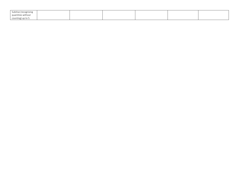| Subitise (recognising |  |  |  |
|-----------------------|--|--|--|
| quantities without    |  |  |  |
| counting) up to 5.    |  |  |  |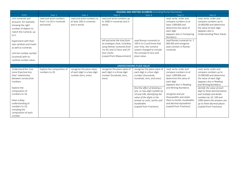|                                                                                                                                                  | <b>READING AND WRITING NUMBERS</b> (including Roman Numerals)    |                                                                                  |                                                                                                                                                                        |                                                                                                                                                        |                                                                                                                                                        |                                                                                                                                                            |  |  |  |
|--------------------------------------------------------------------------------------------------------------------------------------------------|------------------------------------------------------------------|----------------------------------------------------------------------------------|------------------------------------------------------------------------------------------------------------------------------------------------------------------------|--------------------------------------------------------------------------------------------------------------------------------------------------------|--------------------------------------------------------------------------------------------------------------------------------------------------------|------------------------------------------------------------------------------------------------------------------------------------------------------------|--|--|--|
| <b>EYFS</b>                                                                                                                                      | Year 1                                                           | Year <sub>2</sub>                                                                | Year 3                                                                                                                                                                 | Year 4                                                                                                                                                 | Year 5                                                                                                                                                 | Year 6                                                                                                                                                     |  |  |  |
| Link numerals and<br>amounts: for example,<br>showing the right<br>number of objects to<br>match the numeral, up<br>to 5.                        | read and write numbers<br>from 1 to 20 in numerals<br>and words. | read and write numbers to<br>at least 100 in numerals<br>and in words            | read and write numbers up<br>to 1000 in numerals and in<br>words                                                                                                       |                                                                                                                                                        | read, write, order and<br>compare numbers to at<br>least 1000000 and<br>determine the value of<br>each digit<br>(appears also in Comparing<br>Numbers) | read, write, order and<br>compare numbers up to<br>10 000 000 and determine<br>the value of each digit<br>(appears also in<br>Understanding Place Value)   |  |  |  |
| Experiment with their<br>own symbols and marks<br>as well as numerals.<br>Link the number symbol<br>(numeral) with its<br>cardinal number value. |                                                                  |                                                                                  | tell and write the time from<br>an analogue clock, including<br>using Roman numerals from<br>I to XII, and 12-hour and 24-<br>hour clocks<br>(copied from Measurement) | read Roman numerals to<br>100 (I to C) and know that<br>over time, the numeral<br>system changed to include<br>the concept of zero and<br>place value. | read Roman numerals to 1<br>000 (M) and recognise<br>years written in Roman<br>numerals.                                                               |                                                                                                                                                            |  |  |  |
|                                                                                                                                                  |                                                                  |                                                                                  |                                                                                                                                                                        | <b>UNDERSTANDING PLACE VALUE</b>                                                                                                                       |                                                                                                                                                        |                                                                                                                                                            |  |  |  |
| Understand the 'one<br>more than/one less<br>than' relationship<br>between consecutive<br>numbers.                                               | Explore the composition of<br>numbers to 20                      | recognise the place value<br>of each digit in a two-digit<br>number (tens, ones) | recognise the place value of<br>each digit in a three-digit<br>number (hundreds, tens,<br>ones)                                                                        | recognise the place value of<br>each digit in a four-digit<br>number (thousands,<br>hundreds, tens, and ones)                                          | read, write, order and<br>compare numbers to at<br>least 1000000 and<br>determine the value of<br>each digit<br>(appears also in Reading               | read, write, order and<br>compare numbers up to<br>10 000 000 and determine<br>the value of each digit<br>(appears also in Reading<br>and Writing Numbers) |  |  |  |
| Explore the<br>composition of<br>numbers to 10.                                                                                                  |                                                                  |                                                                                  |                                                                                                                                                                        | find the effect of dividing a<br>one- or two-digit number by<br>10 and 100, identifying the<br>value of the digits in the                              | and Writing Numbers)<br>recognise and use<br>thousandths and relate                                                                                    | identify the value of each<br>digit to three decimal places<br>and multiply and divide<br>numbers by 10, 100 and                                           |  |  |  |
| Have a deep<br>understanding of<br>numbers to 10,<br>including the<br>composition of each<br>number.                                             |                                                                  |                                                                                  |                                                                                                                                                                        | answer as units, tenths and<br>hundredths<br>(copied from Fractions)                                                                                   | them to tenths, hundredths<br>and decimal equivalents<br>(copied from Fractions)                                                                       | 1000 where the answers are<br>up to three decimal places<br>(copied from Fractions)                                                                        |  |  |  |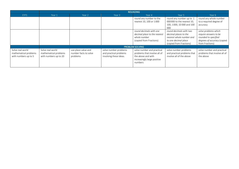|                                                                   | <b>ROUNDING</b>                                                    |                                                          |                                                                           |                                                                                                                            |                                                                                                                                 |                                                                                                                         |  |  |  |
|-------------------------------------------------------------------|--------------------------------------------------------------------|----------------------------------------------------------|---------------------------------------------------------------------------|----------------------------------------------------------------------------------------------------------------------------|---------------------------------------------------------------------------------------------------------------------------------|-------------------------------------------------------------------------------------------------------------------------|--|--|--|
| <b>EYFS</b>                                                       | Year 1                                                             | Year 2                                                   | Year 3                                                                    | Year 4                                                                                                                     | Year 5                                                                                                                          | Year 6                                                                                                                  |  |  |  |
|                                                                   |                                                                    |                                                          |                                                                           | round any number to the<br>nearest 10, 100 or 1000                                                                         | round any number up to 1<br>000000 to the nearest 10,<br>100, 1000, 10 000 and 100<br>000                                       | round any whole number<br>to a required degree of<br>accuracy                                                           |  |  |  |
|                                                                   |                                                                    |                                                          |                                                                           | round decimals with one<br>decimal place to the nearest<br>whole number<br>(copied from Fractions)                         | round decimals with two<br>decimal places to the<br>nearest whole number and<br>to one decimal place<br>(copied from Fractions) | solve problems which<br>require answers to be<br>rounded to specified<br>degrees of accuracy (copied<br>from Fractions) |  |  |  |
|                                                                   |                                                                    |                                                          |                                                                           | <b>PROBLEM SOLVING</b>                                                                                                     |                                                                                                                                 |                                                                                                                         |  |  |  |
| Solve real world<br>mathematical problems<br>with numbers up to 5 | Solve real world<br>mathematical problems<br>with numbers up to 20 | use place value and<br>number facts to solve<br>problems | solve number problems<br>and practical problems<br>involving these ideas. | solve number and practical<br>problems that involve all of<br>the above and with<br>increasingly large positive<br>numbers | solve number problems<br>and practical problems that<br>involve all of the above                                                | solve number and practical<br>problems that involve all of<br>the above                                                 |  |  |  |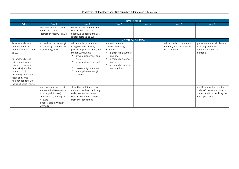#### Progression of Knowledge and Skills ~ Number: Addition and Subtraction

|                         | <b>NUMBER BONDS</b>         |                                |                           |        |                            |                                |  |  |
|-------------------------|-----------------------------|--------------------------------|---------------------------|--------|----------------------------|--------------------------------|--|--|
| <b>EYFS</b>             | Year 1                      | Year 2                         | Year <sub>3</sub>         | Year 4 | Year 5                     | Year 6                         |  |  |
|                         | represent and use number    | recall and use addition and    |                           |        |                            |                                |  |  |
|                         | bonds and related           | subtraction facts to 20        |                           |        |                            |                                |  |  |
|                         | subtraction facts within 20 | fluently, and derive and use   |                           |        |                            |                                |  |  |
|                         |                             | related facts up to 100        |                           |        |                            |                                |  |  |
|                         |                             |                                | <b>MENTAL CALCULATION</b> |        |                            |                                |  |  |
| Automatically recall    | add and subtract one-digit  | add and subtract numbers       | add and subtract          |        | add and subtract numbers   | perform mental calculations,   |  |  |
| number bonds for        | and two-digit numbers to    | using concrete objects,        | numbers mentally,         |        | mentally with increasingly | including with mixed           |  |  |
| numbers 0-5 and some    | 20, including zero          | pictorial representations, and | including:                |        | large numbers              | operations and large           |  |  |
| to 10.                  |                             | mentally, including:           | a three-digit number      |        |                            | numbers                        |  |  |
|                         |                             | a two-digit number and         | and ones                  |        |                            |                                |  |  |
| Automatically recall    |                             | ones                           | a three-digit number      |        |                            |                                |  |  |
| (without reference to   |                             | a two-digit number and         | and tens                  |        |                            |                                |  |  |
| rhymes, counting or     |                             | tens                           | a three-digit number      |        |                            |                                |  |  |
| other aids) number      |                             | two two-digit numbers          | and hundreds              |        |                            |                                |  |  |
| bonds up to 5           |                             | adding three one-digit         |                           |        |                            |                                |  |  |
| (including subtraction  |                             | numbers                        |                           |        |                            |                                |  |  |
| facts) and some         |                             |                                |                           |        |                            |                                |  |  |
| number bonds to 10,     |                             |                                |                           |        |                            |                                |  |  |
| including double facts. |                             |                                |                           |        |                            |                                |  |  |
|                         | read, write and interpret   | show that addition of two      |                           |        |                            | use their knowledge of the     |  |  |
|                         | mathematical statements     | numbers can be done in any     |                           |        |                            | order of operations to carry   |  |  |
|                         | involving addition (+),     | order (commutative) and        |                           |        |                            | out calculations involving the |  |  |
|                         | subtraction (-) and equals  | subtraction of one number      |                           |        |                            | four operations                |  |  |
|                         | $(=)$ signs                 | from another cannot            |                           |        |                            |                                |  |  |
|                         | (appears also in Written)   |                                |                           |        |                            |                                |  |  |
|                         | Methods)                    |                                |                           |        |                            |                                |  |  |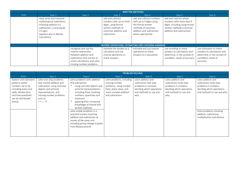|             |                                                                                                                                                                         | <b>WRITTEN METHODS</b>                                                                                                                                           |                                                                                                                                    |                                                                                                                                                     |                                                                                                                                                |                                                                                                                             |  |  |  |
|-------------|-------------------------------------------------------------------------------------------------------------------------------------------------------------------------|------------------------------------------------------------------------------------------------------------------------------------------------------------------|------------------------------------------------------------------------------------------------------------------------------------|-----------------------------------------------------------------------------------------------------------------------------------------------------|------------------------------------------------------------------------------------------------------------------------------------------------|-----------------------------------------------------------------------------------------------------------------------------|--|--|--|
| <b>EYFS</b> | Year 1                                                                                                                                                                  | Year 2                                                                                                                                                           | Year 3                                                                                                                             | Year 4                                                                                                                                              | Year 5                                                                                                                                         | Year 6                                                                                                                      |  |  |  |
|             | read, write and interpret<br>mathematical statements<br>involving addition (+),<br>subtraction (-) and equals<br>$(=)$ signs<br>(appears also in Mental<br>Calculation) |                                                                                                                                                                  | add and subtract<br>numbers with up to three<br>digits, using formal<br>written methods of<br>columnar addition and<br>subtraction | add and subtract numbers<br>with up to 4 digits using<br>the formal written<br>methods of columnar<br>addition and subtraction<br>where appropriate | add and subtract whole<br>numbers with more than 4<br>digits, including using formal<br>written methods (columnar<br>addition and subtraction) |                                                                                                                             |  |  |  |
|             |                                                                                                                                                                         |                                                                                                                                                                  |                                                                                                                                    | <b>INVERSE OPERATIONS, ESTIMATING AND CHECKING ANSWERS</b>                                                                                          |                                                                                                                                                |                                                                                                                             |  |  |  |
|             |                                                                                                                                                                         | recognise and use the<br>inverse relationship<br>between addition and<br>subtraction and use this to<br>check calculations and solve<br>missing number problems. | estimate the answer to a<br>calculation and use<br>inverse operations to<br>check answers                                          | estimate and use inverse<br>operations to check<br>answers to a calculation                                                                         | use rounding to check<br>answers to calculations and<br>determine, in the context of<br>a problem, levels of accuracy                          | use estimation to check<br>answers to calculations and<br>determine, in the context of<br>a problem, levels of<br>accuracy. |  |  |  |

|                                                                                                                                                                   | <b>PROBLEM SOLVING</b>                                                                                                                                                                       |                                                                                                                                                                                                                                                                                           |                                                                                                                                              |                                                                                                                                   |                                                                                                                                     |                                                                                                                                                              |  |  |
|-------------------------------------------------------------------------------------------------------------------------------------------------------------------|----------------------------------------------------------------------------------------------------------------------------------------------------------------------------------------------|-------------------------------------------------------------------------------------------------------------------------------------------------------------------------------------------------------------------------------------------------------------------------------------------|----------------------------------------------------------------------------------------------------------------------------------------------|-----------------------------------------------------------------------------------------------------------------------------------|-------------------------------------------------------------------------------------------------------------------------------------|--------------------------------------------------------------------------------------------------------------------------------------------------------------|--|--|
| <b>EYFS</b>                                                                                                                                                       | Year 1                                                                                                                                                                                       | Year 2                                                                                                                                                                                                                                                                                    | Year 3                                                                                                                                       | Year 4                                                                                                                            | Year 5                                                                                                                              | Year 6                                                                                                                                                       |  |  |
| Explore and represent<br>patterns within<br>numbers up to 10,<br>including evens and<br>odds, double facts<br>and how quantities<br>can be distributed<br>evenly. | solve one-step problems<br>that involve addition and<br>subtraction, using concrete<br>objects and pictorial<br>representations, and<br>missing number problems<br>such as<br>$7 = \Box - 9$ | solve problems with addition<br>and subtraction:<br>using concrete objects and<br>pictorial representations,<br>including those involving<br>numbers, quantities and<br>measures<br>applying their increasing<br>knowledge of mental and<br>written methods<br>solve simple problems in a | solve problems, including<br>missing number<br>problems, using number<br>facts, place value, and<br>more complex addition<br>and subtraction | solve addition and<br>subtraction two-step<br>problems in contexts,<br>deciding which operations<br>and methods to use and<br>why | solve addition and<br>subtraction multi-step<br>problems in contexts,<br>deciding which operations<br>and methods to use and<br>why | solve addition and<br>subtraction multi-step<br>problems in contexts,<br>deciding which operations<br>and methods to use and why<br>Solve problems involving |  |  |
|                                                                                                                                                                   |                                                                                                                                                                                              | practical context involving<br>addition and subtraction of<br>money of the same unit,<br>including giving change (copied<br>from Measurement)                                                                                                                                             |                                                                                                                                              |                                                                                                                                   |                                                                                                                                     | addition, subtraction,<br>multiplication and division                                                                                                        |  |  |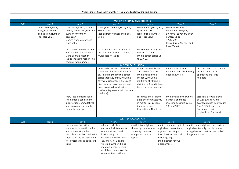|             | <b>MULTIPLICATION &amp; DIVISION FACTS</b>                                               |                                                                                                                                                                                                               |                                                                                                                                                                                                                                                                                                        |        |                                                                                                                                                                                                                                                                                                                 |  |                                                                                                                                                                      |  |                                                                                                                                                                                                                                                 |  |
|-------------|------------------------------------------------------------------------------------------|---------------------------------------------------------------------------------------------------------------------------------------------------------------------------------------------------------------|--------------------------------------------------------------------------------------------------------------------------------------------------------------------------------------------------------------------------------------------------------------------------------------------------------|--------|-----------------------------------------------------------------------------------------------------------------------------------------------------------------------------------------------------------------------------------------------------------------------------------------------------------------|--|----------------------------------------------------------------------------------------------------------------------------------------------------------------------|--|-------------------------------------------------------------------------------------------------------------------------------------------------------------------------------------------------------------------------------------------------|--|
| EYFS        | Year 1                                                                                   | Year <sub>2</sub>                                                                                                                                                                                             | Year 3                                                                                                                                                                                                                                                                                                 |        | Year 4                                                                                                                                                                                                                                                                                                          |  | Year 5                                                                                                                                                               |  | Year 6                                                                                                                                                                                                                                          |  |
|             | count in multiples of<br>twos, fives and tens<br>(copied from Number<br>and Place Value) | count in steps of 2, 3, and 5<br>from 0, and in tens from any<br>number, forward or<br>backward<br>(copied from Number and<br>Place Value)                                                                    | count from 0 in multiples of 4, 8,<br>50 and 100<br>(copied from Number and Place<br>Value)                                                                                                                                                                                                            |        | count in multiples of 6, 7,<br>9, 25 and 1000<br>(copied from Number<br>and Place Value)                                                                                                                                                                                                                        |  | count forwards or<br>backwards in steps of<br>powers of 10 for any given<br>number up to<br>1 000 000<br>(copied from Number and<br>Place Value)                     |  |                                                                                                                                                                                                                                                 |  |
|             |                                                                                          | recall and use multiplication<br>and division facts for the 2.<br>5 and 10 multiplication<br>tables, including recognising<br>odd and even numbers                                                            | recall and use multiplication and<br>division facts for the 3, 4 and 8<br>multiplication tables                                                                                                                                                                                                        |        | recall multiplication and<br>division facts for<br>multiplication tables up<br>to $12 \times 12$                                                                                                                                                                                                                |  |                                                                                                                                                                      |  |                                                                                                                                                                                                                                                 |  |
|             |                                                                                          |                                                                                                                                                                                                               | <b>MENTAL CALCULATION</b>                                                                                                                                                                                                                                                                              |        |                                                                                                                                                                                                                                                                                                                 |  |                                                                                                                                                                      |  |                                                                                                                                                                                                                                                 |  |
|             |                                                                                          | show that multiplication of<br>two numbers can be done<br>in any order (commutative)<br>and division of one number<br>by another cannot                                                                       | write and calculate mathematical<br>statements for multiplication and<br>division using the multiplication<br>tables that they know, including<br>for two-digit numbers times one-<br>digit numbers, using mental and<br>progressing to formal written<br>methods (appears also in Written<br>Methods) |        | use place value, known<br>and derived facts to<br>multiply and divide<br>mentally, including:<br>multiplying by 0 and 1;<br>dividing by 1; multiplying<br>together three numbers<br>recognise and use factor<br>pairs and commutativity<br>in mental calculations<br>(appears also in<br>Properties of Numbers) |  | multiply and divide<br>numbers mentally drawing<br>upon known facts<br>multiply and divide whole<br>numbers and those<br>involving decimals by 10,<br>100 and 1000   |  | perform mental calculations,<br>including with mixed<br>operations and large<br>numbers<br>associate a fraction with<br>division and calculate<br>decimal fraction equivalents<br>$(e.g. 0.375)$ for a simple<br>fraction (e.g. $\frac{3}{8}$ ) |  |
|             |                                                                                          |                                                                                                                                                                                                               |                                                                                                                                                                                                                                                                                                        |        |                                                                                                                                                                                                                                                                                                                 |  |                                                                                                                                                                      |  | (copied from Fractions)                                                                                                                                                                                                                         |  |
|             |                                                                                          |                                                                                                                                                                                                               | <b>WRITTEN CALCULATION</b>                                                                                                                                                                                                                                                                             |        |                                                                                                                                                                                                                                                                                                                 |  |                                                                                                                                                                      |  |                                                                                                                                                                                                                                                 |  |
| <b>EYFS</b> | Year 1                                                                                   | Year 2                                                                                                                                                                                                        | Year <sub>3</sub>                                                                                                                                                                                                                                                                                      |        | Year 4                                                                                                                                                                                                                                                                                                          |  | Year 5                                                                                                                                                               |  | Year 6                                                                                                                                                                                                                                          |  |
|             |                                                                                          | calculate mathematical<br>statements for multiplication<br>and division within the<br>multiplication tables and write<br>them using the multiplication<br>$(x)$ , division $(\div)$ and equals $(=)$<br>signs | write and calculate<br>mathematical statements<br>for multiplication and<br>division using the<br>multiplication tables that<br>they know, including for<br>two-digit numbers times<br>one-digit numbers, using<br>mental and progressing to<br>formal written methods                                 | layout | multiply two-digit and<br>three-digit numbers by<br>a one-digit number<br>using formal written                                                                                                                                                                                                                  |  | multiply numbers up to 4<br>digits by a one- or two-<br>digit number using a<br>formal written method,<br>including long<br>multiplication for two-<br>digit numbers |  | multiply multi-digit numbers up to 4<br>digits by a two-digit whole number<br>using the formal written method of<br>long multiplication                                                                                                         |  |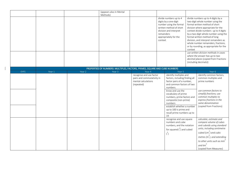|                                                                            |        |        | (appears also in Mental<br>Methods) |                                                                                             |  |                                                                                                                                                                                                                                                                                                                                         |  |                                                                                                                                                                                                                                                                                                                                                                                                                                      |  |  |
|----------------------------------------------------------------------------|--------|--------|-------------------------------------|---------------------------------------------------------------------------------------------|--|-----------------------------------------------------------------------------------------------------------------------------------------------------------------------------------------------------------------------------------------------------------------------------------------------------------------------------------------|--|--------------------------------------------------------------------------------------------------------------------------------------------------------------------------------------------------------------------------------------------------------------------------------------------------------------------------------------------------------------------------------------------------------------------------------------|--|--|
|                                                                            |        |        |                                     |                                                                                             |  | divide numbers up to 4<br>digits by a one-digit<br>number using the formal<br>written method of short<br>division and interpret<br>remainders<br>appropriately for the<br>context                                                                                                                                                       |  | divide numbers up to 4-digits by a<br>two-digit whole number using the<br>formal written method of short<br>division where appropriate for the<br>context divide numbers up to 4 digits<br>by a two-digit whole number using the<br>formal written method of long<br>division, and interpret remainders as<br>whole number remainders, fractions,<br>or by rounding, as appropriate for the<br>use written division methods in cases |  |  |
|                                                                            |        |        |                                     |                                                                                             |  |                                                                                                                                                                                                                                                                                                                                         |  | where the answer has up to two<br>decimal places (copied from Fractions<br>(including decimals))                                                                                                                                                                                                                                                                                                                                     |  |  |
| PROPERTIES OF NUMBERS: MULTIPLES, FACTORS, PRIMES, SQUARE AND CUBE NUMBERS |        |        |                                     |                                                                                             |  |                                                                                                                                                                                                                                                                                                                                         |  |                                                                                                                                                                                                                                                                                                                                                                                                                                      |  |  |
| <b>EYFS</b>                                                                | Year 1 | Year 2 | Year <sub>3</sub>                   | Year 4                                                                                      |  | Year 5                                                                                                                                                                                                                                                                                                                                  |  | Year 6                                                                                                                                                                                                                                                                                                                                                                                                                               |  |  |
|                                                                            |        |        |                                     | recognise and use factor<br>pairs and commutativity in<br>mental calculations<br>(repeated) |  | identify multiples and<br>factors, including finding all<br>factor pairs of a number,<br>and common factors of two<br>numbers.<br>know and use the<br>vocabulary of prime<br>numbers, prime factors and<br>composite (non-prime)<br>numbers<br>establish whether a number<br>up to 100 is prime and<br>recall prime numbers up to<br>19 |  | identify common factors,<br>common multiples and<br>prime numbers<br>use common factors to<br>simplify fractions; use<br>common multiples to<br>express fractions in the<br>same denomination<br>(copied from Fractions)                                                                                                                                                                                                             |  |  |
|                                                                            |        |        |                                     |                                                                                             |  | recognise and use square<br>numbers and cube<br>numbers, and the notation<br>for squared $\binom{2}{1}$ and cubed<br>$\binom{3}{ }$                                                                                                                                                                                                     |  | calculate, estimate and<br>compare volume of cubes<br>and cuboids using standard<br>units, including centimetre<br>cubed $\left($ cm <sup>3</sup> $\right)$ and cubic<br>metres $(m^3)$ , and extending<br>to other units such as mm<br>and $km^3$<br>(copied from Measures)                                                                                                                                                         |  |  |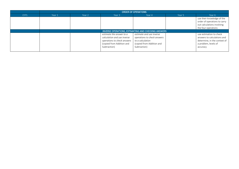|             | <b>ORDER OF OPERATIONS</b>                                 |        |                                                                                                                                     |                                                                                                                          |        |                                                                                                                            |  |  |
|-------------|------------------------------------------------------------|--------|-------------------------------------------------------------------------------------------------------------------------------------|--------------------------------------------------------------------------------------------------------------------------|--------|----------------------------------------------------------------------------------------------------------------------------|--|--|
| <b>EYFS</b> | Year 1                                                     | Year 2 | Year 3                                                                                                                              | Year 4                                                                                                                   | Year 5 | Year 6                                                                                                                     |  |  |
|             |                                                            |        |                                                                                                                                     |                                                                                                                          |        | use their knowledge of the<br>order of operations to carry<br>out calculations involving<br>the four operations            |  |  |
|             | <b>INVERSE OPERATIONS, ESTIMATING AND CHECKING ANSWERS</b> |        |                                                                                                                                     |                                                                                                                          |        |                                                                                                                            |  |  |
|             |                                                            |        | estimate the answer to a<br>calculation and use inverse<br>operations to check answers<br>(copied from Addition and<br>Subtraction) | estimate and use inverse<br>operations to check answers<br>to a calculation<br>(copied from Addition and<br>Subtraction) |        | use estimation to check<br>answers to calculations and<br>determine, in the context of<br>a problem, levels of<br>accuracy |  |  |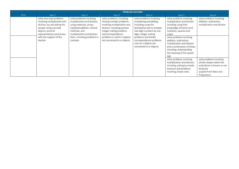|             | <b>PROBLEM SOLVING</b>                                                                                                                                                                                     |                                                                                                                                                                                                              |                                                                                                                                                                                                                                      |                                                                                                                                                                                                                                                                       |                                                                                                                                                                                                                                                                                                                                                                                                                                                          |                                                                                                                                                                                       |
|-------------|------------------------------------------------------------------------------------------------------------------------------------------------------------------------------------------------------------|--------------------------------------------------------------------------------------------------------------------------------------------------------------------------------------------------------------|--------------------------------------------------------------------------------------------------------------------------------------------------------------------------------------------------------------------------------------|-----------------------------------------------------------------------------------------------------------------------------------------------------------------------------------------------------------------------------------------------------------------------|----------------------------------------------------------------------------------------------------------------------------------------------------------------------------------------------------------------------------------------------------------------------------------------------------------------------------------------------------------------------------------------------------------------------------------------------------------|---------------------------------------------------------------------------------------------------------------------------------------------------------------------------------------|
| <b>EYFS</b> | Year 1                                                                                                                                                                                                     | Year 2                                                                                                                                                                                                       | Year 3                                                                                                                                                                                                                               | Year 4                                                                                                                                                                                                                                                                | Year 5                                                                                                                                                                                                                                                                                                                                                                                                                                                   | Year 6                                                                                                                                                                                |
|             | solve one-step problems<br>involving multiplication and<br>division, by calculating the<br>answer using concrete<br>objects, pictorial<br>representations and arrays<br>with the support of the<br>teacher | solve problems involving<br>multiplication and division,<br>using materials, arrays,<br>repeated addition, mental<br>methods, and<br>multiplication and division<br>facts, including problems in<br>contexts | solve problems, including<br>missing number problems,<br>involving multiplication and<br>division, including positive<br>integer scaling problems<br>and correspondence<br>problems in which n objects<br>are connected to m objects | solve problems involving<br>multiplying and adding,<br>including using the<br>distributive law to multiply<br>two digit numbers by one<br>digit, integer scaling<br>problems and harder<br>correspondence problems<br>such as n objects are<br>connected to m objects | solve problems involving<br>multiplication and division<br>including using their<br>knowledge of factors and<br>multiples, squares and<br>cubes<br>solve problems involving<br>addition, subtraction,<br>multiplication and division<br>and a combination of these,<br>including understanding<br>the meaning of the equals<br>sign<br>solve problems involving<br>multiplication and division,<br>including scaling by simple<br>fractions and problems | solve problems involving<br>addition, subtraction,<br>multiplication and division<br>solve problems involving<br>similar shapes where the<br>scale factor is known or can<br>be found |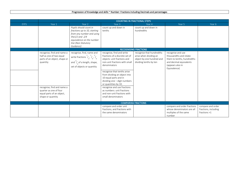## Progression of Knowledge and skills ~ Number: Fractions including Decimals and percentages

|             | <b>COUNTING IN FRACTIONAL STEPS</b>                                                                    |                                                                                                                                                                             |                                                                                                                                              |                                                                                                            |                                                                                                                                          |                                                           |
|-------------|--------------------------------------------------------------------------------------------------------|-----------------------------------------------------------------------------------------------------------------------------------------------------------------------------|----------------------------------------------------------------------------------------------------------------------------------------------|------------------------------------------------------------------------------------------------------------|------------------------------------------------------------------------------------------------------------------------------------------|-----------------------------------------------------------|
| <b>EYFS</b> | Year 1                                                                                                 | Year 2                                                                                                                                                                      | Year <sub>3</sub>                                                                                                                            | Year 4                                                                                                     | Year 5                                                                                                                                   | Year 6                                                    |
|             |                                                                                                        | Pupils should count in<br>fractions up to 10, starting<br>from any number and using<br>the $1/2$ and $2/4$<br>equivalence on the number<br>line (Non Statutory<br>Guidance) | count up and down in<br>tenths                                                                                                               | count up and down in<br>hundredths                                                                         |                                                                                                                                          |                                                           |
|             |                                                                                                        |                                                                                                                                                                             | <b>RECOGNISING FRACTIONS</b>                                                                                                                 |                                                                                                            |                                                                                                                                          |                                                           |
|             | recognise, find and name a<br>half as one of two equal<br>parts of an object, shape or<br>quantity     | recognise, find, name and<br>write fractions $\frac{1}{3}$ , $\frac{1}{4}$ , $\frac{2}{4}$<br>and $\frac{3}{4}$ of a length, shape,<br>set of objects or quantity           | recognise, find and write<br>fractions of a discrete set of<br>objects: unit fractions and<br>non-unit fractions with small<br>denominators  | recognise that hundredths<br>arise when dividing an<br>object by one hundred and<br>dividing tenths by ten | recognise and use<br>thousandths and relate<br>them to tenths, hundredths<br>and decimal equivalents<br>(appears also in<br>Equivalence) |                                                           |
|             |                                                                                                        |                                                                                                                                                                             | recognise that tenths arise<br>from dividing an object into<br>10 equal parts and in<br>dividing one - digit numbers<br>or quantities by 10. |                                                                                                            |                                                                                                                                          |                                                           |
|             | recognise, find and name a<br>quarter as one of four<br>equal parts of an object,<br>shape or quantity |                                                                                                                                                                             | recognise and use fractions<br>as numbers: unit fractions<br>and non-unit fractions with<br>small denominators                               |                                                                                                            |                                                                                                                                          |                                                           |
|             |                                                                                                        |                                                                                                                                                                             | <b>COMPARING FRACTIONS</b>                                                                                                                   |                                                                                                            |                                                                                                                                          |                                                           |
|             |                                                                                                        |                                                                                                                                                                             | compare and order unit<br>fractions, and fractions with<br>the same denominators                                                             |                                                                                                            | compare and order fractions<br>whose denominators are all<br>multiples of the same<br>number                                             | compare and order<br>fractions, including<br>fractions >1 |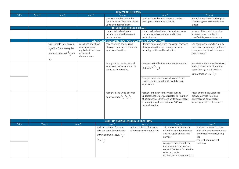|             |        |                 |                                                                                                             |                                                                                                   |                                                         | <b>COMPARING DECIMALS</b>                                                                      |                                                      |                                                                                                                                                                                 |        |                                                                                                                                                 |
|-------------|--------|-----------------|-------------------------------------------------------------------------------------------------------------|---------------------------------------------------------------------------------------------------|---------------------------------------------------------|------------------------------------------------------------------------------------------------|------------------------------------------------------|---------------------------------------------------------------------------------------------------------------------------------------------------------------------------------|--------|-------------------------------------------------------------------------------------------------------------------------------------------------|
| <b>EYFS</b> | Year 1 |                 | Year <sub>2</sub>                                                                                           | Year 3                                                                                            |                                                         | Year 4                                                                                         |                                                      | Year 5                                                                                                                                                                          |        | Year 6                                                                                                                                          |
|             |        |                 |                                                                                                             |                                                                                                   |                                                         | compare numbers with the<br>same number of decimal places<br>up to two decimal places          | with up to three decimal places                      | read, write, order and compare numbers                                                                                                                                          | places | identify the value of each digit in<br>numbers given to three decimal                                                                           |
|             |        |                 |                                                                                                             |                                                                                                   |                                                         | ROUNDING INCLUDING DECIMALS                                                                    |                                                      |                                                                                                                                                                                 |        |                                                                                                                                                 |
|             |        |                 |                                                                                                             |                                                                                                   |                                                         | round decimals with one<br>decimal place to the nearest<br>whole number                        | the nearest whole number and to one<br>decimal place | round decimals with two decimal places to                                                                                                                                       |        | solve problems which require<br>answers to be rounded to<br>specified degrees of accuracy                                                       |
|             |        |                 |                                                                                                             |                                                                                                   |                                                         | EQUIVALENCE (INCLUDING FRACTIONS, DECIMALS AND PERCENTAGES)                                    |                                                      |                                                                                                                                                                                 |        |                                                                                                                                                 |
|             |        | $\frac{1}{2}$ . | write simple fractions e.g.<br>$\frac{1}{2}$ of 6 = 3 and recognise<br>the equivalence of $\frac{2}{4}$ and | recognise and show,<br>using diagrams,<br>equivalent fractions<br>with small<br>denominators      |                                                         | recognise and show, using<br>diagrams, families of common<br>equivalent fractions              | including tenths and hundredths                      | identify, name and write equivalent fractions<br>of a given fraction, represented visually,                                                                                     |        | use common factors to simplify<br>fractions; use common multiples<br>to express fractions in the same<br>denomination                           |
|             |        |                 |                                                                                                             |                                                                                                   |                                                         | recognise and write decimal<br>equivalents of any number of<br>tenths or hundredths            | $(e.g. 0.71 = \binom{71}{100}$<br>equivalents        | read and write decimal numbers as fractions<br>recognise and use thousandths and relate<br>them to tenths, hundredths and decimal                                               |        | associate a fraction with division<br>and calculate decimal fraction<br>equivalents (e.g. 0.375) for a<br>simple fraction (e.g. $\frac{3}{2}$ ) |
|             |        |                 |                                                                                                             |                                                                                                   |                                                         | recognise and write decimal<br>equivalents to $\frac{1}{4}$ ; $\frac{1}{4}$ , $\frac{3}{4}$    | decimal fraction                                     | recognise the per cent symbol (%) and<br>understand that per cent relates to "number<br>of parts per hundred", and write percentages<br>as a fraction with denominator 100 as a |        | recall and use equivalences<br>between simple fractions,<br>decimals and percentages,<br>including in different contexts.                       |
|             |        |                 |                                                                                                             |                                                                                                   |                                                         | ADDITION AND SUBTRACTION OF FRACTIONS                                                          |                                                      |                                                                                                                                                                                 |        |                                                                                                                                                 |
| <b>EYFS</b> | Year 1 |                 |                                                                                                             | Year <sub>2</sub>                                                                                 |                                                         | Year 3                                                                                         | Year 4                                               | Year 5                                                                                                                                                                          |        | Year 6                                                                                                                                          |
|             |        |                 | $\frac{1}{7} = \frac{6}{7}$                                                                                 | add and subtract fractions<br>with the same denominator<br>within one whole (e.g. $\frac{5}{7}$ + | add and subtract fractions<br>with the same denominator | add and subtract fractions<br>with the same denominator<br>and multiples of the same<br>number |                                                      | add and subtract fractions<br>with different denominators<br>and mixed numbers, using<br>the<br>concept of equivalent                                                           |        |                                                                                                                                                 |
|             |        |                 |                                                                                                             |                                                                                                   |                                                         |                                                                                                |                                                      | recognise mixed numbers<br>and improper fractions and<br>convert from one form to the<br>other and write<br>mathematical statements $> 1$                                       |        | fractions                                                                                                                                       |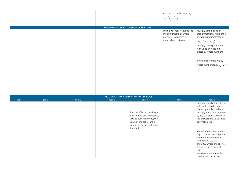|             |        |        |        |                                                                                                                                                                       | as a mixed number (e.g. $^{2}/_{5}$ +<br>$^{4}/_{5}$ = $^{6}/_{5}$ = $^{1}/_{5}$ )                         |                                                                                                                                                                                                                                      |
|-------------|--------|--------|--------|-----------------------------------------------------------------------------------------------------------------------------------------------------------------------|------------------------------------------------------------------------------------------------------------|--------------------------------------------------------------------------------------------------------------------------------------------------------------------------------------------------------------------------------------|
|             |        |        |        |                                                                                                                                                                       |                                                                                                            |                                                                                                                                                                                                                                      |
|             |        |        |        |                                                                                                                                                                       |                                                                                                            |                                                                                                                                                                                                                                      |
|             |        |        |        | MULTIPLICATION AND DIVISION OF FRACTIONS                                                                                                                              | multiply proper fractions and<br>mixed numbers by whole<br>numbers, supported by<br>materials and diagrams | multiply simple pairs of<br>proper fractions, writing the<br>answer in its simplest form<br>$(e.g. \frac{1}{4} \times \frac{1}{2} = \frac{1}{8})$<br>multiply one-digit numbers<br>with up to two decimal<br>places by whole numbers |
|             |        |        |        |                                                                                                                                                                       |                                                                                                            | divide proper fractions by<br>whole numbers (e.g. $\frac{1}{3} \div 2 =$<br>$\frac{1}{6}$ )                                                                                                                                          |
|             |        |        |        | MULTIPLICATION AND DIVISION OF DECIMALS                                                                                                                               |                                                                                                            |                                                                                                                                                                                                                                      |
| <b>EYFS</b> | Year 1 | Year 2 | Year 3 | Year 4                                                                                                                                                                | Year 5                                                                                                     | Year 6                                                                                                                                                                                                                               |
|             |        |        |        |                                                                                                                                                                       |                                                                                                            | multiply one-digit numbers<br>with up to two decimal<br>places by whole numbers                                                                                                                                                      |
|             |        |        |        | find the effect of dividing a<br>one- or two-digit number by<br>10 and 100, identifying the<br>value of the digits in the<br>answer as ones, tenths and<br>hundredths |                                                                                                            | multiply and divide numbers<br>by 10, 100 and 1000 where<br>the answers are up to three<br>decimal places                                                                                                                            |
|             |        |        |        |                                                                                                                                                                       |                                                                                                            | identify the value of each<br>digit to three decimal places<br>and multiply and divide<br>numbers by 10, 100<br>and 1000 where the answers<br>are up to three decimal<br>places                                                      |
|             |        |        |        |                                                                                                                                                                       |                                                                                                            | associate a fraction with<br>division and calculate                                                                                                                                                                                  |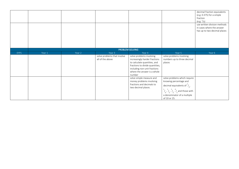|             |        |        |                             |                                                                                                                                                                                                                                   |                                                                                                   | decimal fraction equivalents<br>(e.g. $0.375$ ) for a simple<br>fraction<br>(e.g. $\frac{3}{8}$ )<br>use written division methods<br>in cases where the answer<br>has up to two decimal places |
|-------------|--------|--------|-----------------------------|-----------------------------------------------------------------------------------------------------------------------------------------------------------------------------------------------------------------------------------|---------------------------------------------------------------------------------------------------|------------------------------------------------------------------------------------------------------------------------------------------------------------------------------------------------|
|             |        |        |                             | PROBLEM SOLVING                                                                                                                                                                                                                   |                                                                                                   |                                                                                                                                                                                                |
| <b>EYFS</b> | Year 1 | Year 2 | Year 3                      | Year 4                                                                                                                                                                                                                            | Year 5                                                                                            | Year 6                                                                                                                                                                                         |
|             |        |        | solve problems that involve |                                                                                                                                                                                                                                   |                                                                                                   |                                                                                                                                                                                                |
|             |        |        | all of the above            | solve problems involving<br>increasingly harder fractions<br>to calculate quantities, and<br>fractions to divide quantities,<br>including non-unit fractions<br>where the answer is a whole<br>number<br>solve simple measure and | solve problems involving<br>numbers up to three decimal<br>places<br>solve problems which require |                                                                                                                                                                                                |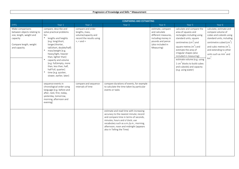|                                                                                                                                    | <b>COMPARING AND ESTIMATING</b>                                                                                                                                                                                                                                                                                                                                                                                      |                                                                                                             |                                                                                                                                                                                                                                                                              |                                                                                                                                        |                                                                                                                                                                                                                                                                                                                                                                                        |                                                                                                                                                                                                                                           |  |
|------------------------------------------------------------------------------------------------------------------------------------|----------------------------------------------------------------------------------------------------------------------------------------------------------------------------------------------------------------------------------------------------------------------------------------------------------------------------------------------------------------------------------------------------------------------|-------------------------------------------------------------------------------------------------------------|------------------------------------------------------------------------------------------------------------------------------------------------------------------------------------------------------------------------------------------------------------------------------|----------------------------------------------------------------------------------------------------------------------------------------|----------------------------------------------------------------------------------------------------------------------------------------------------------------------------------------------------------------------------------------------------------------------------------------------------------------------------------------------------------------------------------------|-------------------------------------------------------------------------------------------------------------------------------------------------------------------------------------------------------------------------------------------|--|
| EYFS                                                                                                                               | Year 1                                                                                                                                                                                                                                                                                                                                                                                                               | Year 2                                                                                                      | Year 3                                                                                                                                                                                                                                                                       | Year 4                                                                                                                                 | Year 5                                                                                                                                                                                                                                                                                                                                                                                 | Year 6                                                                                                                                                                                                                                    |  |
| Make comparisons<br>between objects relating to<br>size, length, weight and<br>capacity<br>Compare length, weight<br>and capacity. | compare, describe and<br>solve practical problems<br>for:<br>$\ast$<br>lengths and heights<br>[e.g. long/short,<br>longer/shorter,<br>tall/short, double/half]<br>mass/weight [e.g.<br>$\ast$<br>heavy/light, heavier<br>than, lighter than]<br>$\ast$<br>capacity and volume<br>[e.g. full/empty, more<br>than, less than, half,<br>half full, quarter]<br>time [e.g. quicker,<br>$\ast$<br>slower, earlier, later] | compare and order<br>lengths, mass,<br>volume/capacity and<br>record the results using<br>$>$ , $<$ and $=$ |                                                                                                                                                                                                                                                                              | estimate, compare<br>and calculate<br>different measures,<br>including money in<br>pounds and pence<br>(also included in<br>Measuring) | calculate and compare the<br>area of squares and<br>rectangles including using<br>standard units, square<br>centimetres $\text{(cm}^2\text{)}$ and<br>square metres $(m2)$ and<br>estimate the area of<br>irregular shapes (also<br>included in measuring)<br>estimate volume (e.g. using<br>$1 \text{ cm}^3$ blocks to build cubes<br>and cuboids) and capacity<br>(e.g. using water) | calculate, estimate and<br>compare volume of<br>cubes and cuboids using<br>standard units, including<br>centimetre cubed $(cm3)$<br>and cubic metres $(m^3)$ ,<br>and extending to other<br>units such as mm $\frac{3}{3}$ and<br>$km3$ . |  |
|                                                                                                                                    | sequence events in<br>chronological order using<br>language [e.g. before and<br>after, next, first, today,<br>yesterday, tomorrow,<br>morning, afternoon and<br>evening]                                                                                                                                                                                                                                             | compare and sequence<br>intervals of time                                                                   | compare durations of events, for example<br>to calculate the time taken by particular<br>events or tasks                                                                                                                                                                     |                                                                                                                                        |                                                                                                                                                                                                                                                                                                                                                                                        |                                                                                                                                                                                                                                           |  |
|                                                                                                                                    |                                                                                                                                                                                                                                                                                                                                                                                                                      |                                                                                                             | estimate and read time with increasing<br>accuracy to the nearest minute; record<br>and compare time in terms of seconds,<br>minutes, hours and o'clock; use<br>vocabulary such as a.m./p.m., morning,<br>afternoon, noon and midnight (appears<br>also in Telling the Time) |                                                                                                                                        |                                                                                                                                                                                                                                                                                                                                                                                        |                                                                                                                                                                                                                                           |  |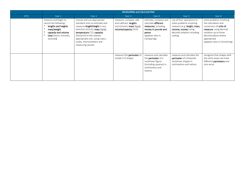|             |                                                                                                                                                 | <b>MEASURING and CALCULATING</b>                                                                                                                                                                                                                                                            |                                                                                                           |                                                                                                                                       |                                                                                                                                                         |                                                                                                                                                                                                           |  |  |
|-------------|-------------------------------------------------------------------------------------------------------------------------------------------------|---------------------------------------------------------------------------------------------------------------------------------------------------------------------------------------------------------------------------------------------------------------------------------------------|-----------------------------------------------------------------------------------------------------------|---------------------------------------------------------------------------------------------------------------------------------------|---------------------------------------------------------------------------------------------------------------------------------------------------------|-----------------------------------------------------------------------------------------------------------------------------------------------------------------------------------------------------------|--|--|
| <b>EYFS</b> | Year 1                                                                                                                                          | Year 2                                                                                                                                                                                                                                                                                      | Year 3                                                                                                    | Year 4                                                                                                                                | Year 5                                                                                                                                                  | Year 6                                                                                                                                                                                                    |  |  |
|             | measure and begin to<br>record the following:<br>lengths and heights<br>mass/weight<br>capacity and volume<br>time (hours, minutes,<br>seconds) | choose and use appropriate<br>standard units to estimate and<br>measure length/height in any<br>direction (m/cm); mass $(kg/g)$ ;<br>temperature $(^{\circ}C)$ ; capacity<br>(litres/ml) to the nearest<br>appropriate unit, using rulers,<br>scales, thermometers and<br>measuring vessels | measure, compare, add<br>and subtract: lengths<br>$(m/cm/mm)$ ; mass $(kg/g)$ ;<br>volume/capacity (l/ml) | estimate, compare and<br>calculate different<br>measures, including<br>money in pounds and<br>pence<br>(appears also in<br>Comparing) | use all four operations to<br>solve problems involving<br>measure (e.g. length, mass,<br>volume, money) using<br>decimal notation including<br>scaling. | solve problems involving<br>the calculation and<br>conversion of <b>units of</b><br>measure, using decimal<br>notation up to three<br>decimal places where<br>appropriate<br>(appears also in Converting) |  |  |
|             |                                                                                                                                                 |                                                                                                                                                                                                                                                                                             | measure the <b>perimeter</b> of<br>simple 2-D shapes                                                      | measure and calculate<br>the <b>perimeter</b> of a<br>rectilinear figure<br>(including squares) in<br>centimetres and<br>metres       | measure and calculate the<br>perimeter of composite<br>rectilinear shapes in<br>centimetres and metres                                                  | recognise that shapes with<br>the same areas can have<br>different <b>perimeters</b> and<br>vice versa                                                                                                    |  |  |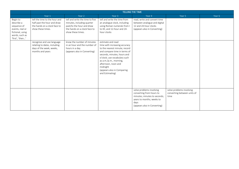|                                                                                                                   |                                                                                                                   |                                                                                                                                                 |                                                                                                                                                                                                                                                                                                  | TELLING THE TIME                                                                                                                                          |                                                                 |        |
|-------------------------------------------------------------------------------------------------------------------|-------------------------------------------------------------------------------------------------------------------|-------------------------------------------------------------------------------------------------------------------------------------------------|--------------------------------------------------------------------------------------------------------------------------------------------------------------------------------------------------------------------------------------------------------------------------------------------------|-----------------------------------------------------------------------------------------------------------------------------------------------------------|-----------------------------------------------------------------|--------|
|                                                                                                                   | Year 1                                                                                                            | Year 2                                                                                                                                          | Year 3                                                                                                                                                                                                                                                                                           | Year 4                                                                                                                                                    | Year 5                                                          | Year 6 |
| Begin to<br>describe a<br>sequence of<br>events, real or<br>fictional, using<br>words, such as<br>'first', 'then' | tell the time to the hour and<br>half past the hour and draw<br>the hands on a clock face to<br>show these times. | tell and write the time to five<br>minutes, including quarter<br>past/to the hour and draw<br>the hands on a clock face to<br>show these times. | tell and write the time from<br>an analogue clock, including<br>using Roman numerals from I<br>to XII, and 12-hour and 24-<br>hour clocks                                                                                                                                                        | read, write and convert time<br>between analogue and digital<br>12 and 24-hour clocks<br>(appears also in Converting)                                     |                                                                 |        |
|                                                                                                                   | recognise and use language<br>relating to dates, including<br>days of the week, weeks,<br>months and years        | know the number of minutes<br>in an hour and the number of<br>hours in a day.<br>(appears also in Converting)                                   | estimate and read<br>time with increasing accuracy<br>to the nearest minute; record<br>and compare time in terms of<br>seconds, minutes, hours and<br>o'clock; use vocabulary such<br>as a.m./p.m., morning,<br>afternoon, noon and<br>midnight<br>(appears also in Comparing<br>and Estimating) |                                                                                                                                                           |                                                                 |        |
|                                                                                                                   |                                                                                                                   |                                                                                                                                                 |                                                                                                                                                                                                                                                                                                  | solve problems involving<br>converting from hours to<br>minutes; minutes to seconds;<br>years to months; weeks to<br>days<br>(appears also in Converting) | solve problems involving<br>converting between units of<br>time |        |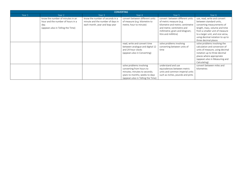|        |                                                                                                                     |                                                                                                       | <b>CONVERTING</b>                                                                                                                                            |                                                                                                                                                                                       |                                                                                                                                                                                                                                                          |
|--------|---------------------------------------------------------------------------------------------------------------------|-------------------------------------------------------------------------------------------------------|--------------------------------------------------------------------------------------------------------------------------------------------------------------|---------------------------------------------------------------------------------------------------------------------------------------------------------------------------------------|----------------------------------------------------------------------------------------------------------------------------------------------------------------------------------------------------------------------------------------------------------|
| Year 1 | Year 2                                                                                                              | Year 3                                                                                                | Year 4                                                                                                                                                       | Year 5                                                                                                                                                                                | Year 6                                                                                                                                                                                                                                                   |
|        | know the number of minutes in an<br>hour and the number of hours in a<br>day.<br>(appears also in Telling the Time) | know the number of seconds in a<br>minute and the number of days in<br>each month, year and leap year | convert between different units<br>of measure (e.g. kilometre to<br>metre; hour to minute)                                                                   | convert between different units<br>of metric measure (e.g.<br>kilometre and metre; centimetre<br>and metre; centimetre and<br>millimetre; gram and kilogram;<br>litre and millilitre) | use, read, write and convert<br>between standard units,<br>converting measurements of<br>length, mass, volume and time<br>from a smaller unit of measure<br>to a larger unit, and vice versa,<br>using decimal notation to up to<br>three decimal places |
|        |                                                                                                                     |                                                                                                       | read, write and convert time<br>between analogue and digital 12<br>and 24-hour clocks<br>(appears also in Converting)                                        | solve problems involving<br>converting between units of<br>time                                                                                                                       | solve problems involving the<br>calculation and conversion of<br>units of measure, using decimal<br>notation up to three decimal<br>places where appropriate<br>(appears also in Measuring and<br>Calculating)                                           |
|        |                                                                                                                     |                                                                                                       | solve problems involving<br>converting from hours to<br>minutes; minutes to seconds;<br>years to months; weeks to days<br>(appears also in Telling the Time) | understand and use<br>equivalences between metric<br>units and common imperial units<br>such as inches, pounds and pints                                                              | convert between miles and<br>kilometres                                                                                                                                                                                                                  |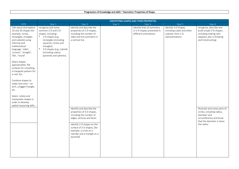## Progression of Knowledge and skills ~ Geometry: Properties of Shape

|                                                                                                                                                                                                                                                                                                                                                                                                                                                                                                                       | <b>IDENTIFYING SHAPES AND THIER PROPERTIES</b>                                                                                                                                                                                             |                                                                                                                                                                                                                                                                                                                                                                                         |        |                                                                                    |                                                                                           |                                                                                                                                                                                                                                                                                   |
|-----------------------------------------------------------------------------------------------------------------------------------------------------------------------------------------------------------------------------------------------------------------------------------------------------------------------------------------------------------------------------------------------------------------------------------------------------------------------------------------------------------------------|--------------------------------------------------------------------------------------------------------------------------------------------------------------------------------------------------------------------------------------------|-----------------------------------------------------------------------------------------------------------------------------------------------------------------------------------------------------------------------------------------------------------------------------------------------------------------------------------------------------------------------------------------|--------|------------------------------------------------------------------------------------|-------------------------------------------------------------------------------------------|-----------------------------------------------------------------------------------------------------------------------------------------------------------------------------------------------------------------------------------------------------------------------------------|
| EYFS                                                                                                                                                                                                                                                                                                                                                                                                                                                                                                                  | Year 1                                                                                                                                                                                                                                     | Year 2                                                                                                                                                                                                                                                                                                                                                                                  | Year 3 | Year 4                                                                             | Year 5                                                                                    | Year 6                                                                                                                                                                                                                                                                            |
| Talk about and explore<br>2D and 3D shapes (for<br>example, circles,<br>rectangles, triangles<br>and cuboids) using<br>informal and<br>mathematical<br>language: 'sides',<br>'corners', 'straight',<br>'flat', 'round'.<br>Select shapes<br>appropriately: flat<br>surfaces for a building,<br>a triangular pattern for<br>a roof, etc.<br>Combine shapes to<br>make new ones - an<br>arch, a bigger triangle,<br>etc.<br>Select, rotate and<br>manipulate shapes in<br>order to develop<br>spatial reasoning skills. | recognise and name<br>common 2-D and 3-D<br>shapes, including:<br>* 2-D shapes [e.g.<br>rectangles (including<br>squares), circles and<br>triangles]<br>3-D shapes [e.g. cuboids<br>$\ast$<br>(including cubes),<br>pyramids and spheres]. | identify and describe the<br>properties of 2-D shapes,<br>including the number of<br>sides and line symmetry in<br>a vertical line<br>identify and describe the<br>properties of 3-D shapes,<br>including the number of<br>edges, vertices and faces<br>identify 2-D shapes on the<br>surface of 3-D shapes, [for<br>example, a circle on a<br>cylinder and a triangle on a<br>pyramid] |        | identify lines of symmetry<br>in 2-D shapes presented in<br>different orientations | identify 3-D shapes,<br>including cubes and other<br>cuboids, from 2-D<br>representations | recognise, describe and<br>build simple 3-D shapes,<br>including making nets<br>(appears also in Drawing<br>and Constructing)<br>illustrate and name parts of<br>circles, including radius,<br>diameter and<br>circumference and know<br>that the diameter is twice<br>the radius |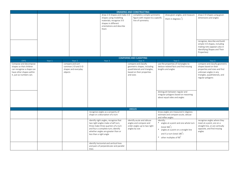|                                                                                                                                       | <b>DRAWING AND CONSTRUCTING</b> |                                                                          |                                                                                                                                                                                                                           |                                                                                                                                |                                                                                                                                                                                                                |                                                                                                                                                                                                      |  |
|---------------------------------------------------------------------------------------------------------------------------------------|---------------------------------|--------------------------------------------------------------------------|---------------------------------------------------------------------------------------------------------------------------------------------------------------------------------------------------------------------------|--------------------------------------------------------------------------------------------------------------------------------|----------------------------------------------------------------------------------------------------------------------------------------------------------------------------------------------------------------|------------------------------------------------------------------------------------------------------------------------------------------------------------------------------------------------------|--|
|                                                                                                                                       |                                 |                                                                          | draw 2-D shapes and make 3-D<br>shapes using modelling<br>materials; recognise 3-D<br>shapes in different<br>orientations and describe<br>them                                                                            | complete a simple symmetric<br>figure with respect to a specific<br>line of symmetry                                           | draw given angles, and measure<br>them in degrees $\binom{9}{1}$                                                                                                                                               | draw 2-D shapes using given<br>dimensions and angles<br>recognise, describe and build<br>simple 3-D shapes, including<br>making nets (appears also in<br>Identifying Shapes and Their<br>Properties) |  |
|                                                                                                                                       |                                 |                                                                          |                                                                                                                                                                                                                           | <b>COMPARING AND CLASSIFYING</b>                                                                                               |                                                                                                                                                                                                                |                                                                                                                                                                                                      |  |
| <b>EYFS</b>                                                                                                                           | Year 1                          | Year 2                                                                   | Year 3                                                                                                                                                                                                                    | Year 4                                                                                                                         | Year 5                                                                                                                                                                                                         | Year 6                                                                                                                                                                                               |  |
| Compose and decompose<br>shapes so that children<br>can recognise a shape can<br>have other shapes within<br>it, just as numbers can. |                                 | compare and sort<br>common 2-D and 3-D<br>shapes and everyday<br>objects |                                                                                                                                                                                                                           | compare and classify<br>geometric shapes, including<br>quadrilaterals and triangles,<br>based on their properties<br>and sizes | use the properties of rectangles to<br>deduce related facts and find missing<br>lengths and angles<br>distinguish between regular and<br>irregular polygons based on reasoning<br>about equal sides and angles | compare and classify geometric<br>shapes based on their<br>properties and sizes and find<br>unknown angles in any<br>triangles, quadrilaterals, and<br>regular polygons                              |  |
|                                                                                                                                       |                                 |                                                                          |                                                                                                                                                                                                                           | <b>ANGLES</b>                                                                                                                  |                                                                                                                                                                                                                |                                                                                                                                                                                                      |  |
|                                                                                                                                       |                                 |                                                                          | recognise angles as a property of<br>shape or a description of a turn                                                                                                                                                     |                                                                                                                                | know angles are measured in degrees:<br>estimate and compare acute, obtuse<br>and reflex angles                                                                                                                |                                                                                                                                                                                                      |  |
|                                                                                                                                       |                                 |                                                                          | identify right angles, recognise that<br>two right angles make a half-turn,<br>three make three quarters of a turn<br>and four a complete turn; identify<br>whether angles are greater than or<br>less than a right angle | identify acute and obtuse<br>angles and compare and<br>order angles up to two right<br>angles by size                          | identify:<br>* angles at a point and one whole turn<br>$(total 360^{\circ})$<br>$\ast$<br>angles at a point on a straight line<br>and $\frac{1}{2}$ a turn (total 180)<br>* other multiples of 90              | recognise angles where they<br>meet at a point, are on a<br>straight line, or are vertically<br>opposite, and find missing<br>angles                                                                 |  |
|                                                                                                                                       |                                 |                                                                          | identify horizontal and vertical lines<br>and pairs of perpendicular and parallel<br>lines                                                                                                                                |                                                                                                                                |                                                                                                                                                                                                                |                                                                                                                                                                                                      |  |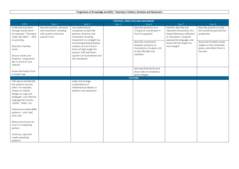|                                                                                                                                                                                                                                   | POSITION, DIRECTION AND MOVEMENT                                                                      |                                                                                                                                                                                                                                                                                                   |                   |                                                                                                                                                                                               |                                                                                                                                                                                           |                                                                                                                                                                               |
|-----------------------------------------------------------------------------------------------------------------------------------------------------------------------------------------------------------------------------------|-------------------------------------------------------------------------------------------------------|---------------------------------------------------------------------------------------------------------------------------------------------------------------------------------------------------------------------------------------------------------------------------------------------------|-------------------|-----------------------------------------------------------------------------------------------------------------------------------------------------------------------------------------------|-------------------------------------------------------------------------------------------------------------------------------------------------------------------------------------------|-------------------------------------------------------------------------------------------------------------------------------------------------------------------------------|
| <b>EYFS</b>                                                                                                                                                                                                                       | Year 1                                                                                                | Year 2                                                                                                                                                                                                                                                                                            | Year <sub>3</sub> | Year 4                                                                                                                                                                                        | Year 5                                                                                                                                                                                    | Year 6                                                                                                                                                                        |
| Understand position<br>through words alone -<br>for example, "The bag is<br>under the table," $-$ with<br>no pointing.<br>Describe a familiar<br>route.<br>Discuss routes and<br>locations, using words<br>like 'in front of' and | describe position, direction<br>and movement, including<br>half, quarter and three-<br>quarter turns. | use mathematical<br>vocabulary to describe<br>position, direction and<br>movement including<br>movement in a straight line<br>and distinguishing between<br>rotation as a turn and in<br>terms of right angles for<br>quarter, half and three-<br>quarter turns (clockwise and<br>anti-clockwise) |                   | describe positions on a<br>2-D grid as coordinates in<br>the first quadrant<br>describe movements<br>between positions as<br>translations of a given unit<br>to the left/right and<br>up/down | identify, describe and<br>represent the position of a<br>shape following a reflection<br>or translation, using the<br>appropriate language, and<br>know that the shape has<br>not changed | describe positions on the<br>full coordinate grid (all four<br>quadrants)<br>draw and translate simple<br>shapes on the coordinate<br>plane, and reflect them in<br>the axes. |
| 'behind'.                                                                                                                                                                                                                         |                                                                                                       |                                                                                                                                                                                                                                                                                                   |                   |                                                                                                                                                                                               |                                                                                                                                                                                           |                                                                                                                                                                               |
| Draw information from<br>a simple map.                                                                                                                                                                                            |                                                                                                       |                                                                                                                                                                                                                                                                                                   |                   | plot specified points and<br>draw sides to complete a<br>given polygon                                                                                                                        |                                                                                                                                                                                           |                                                                                                                                                                               |
|                                                                                                                                                                                                                                   |                                                                                                       |                                                                                                                                                                                                                                                                                                   |                   | <b>PATTERN</b>                                                                                                                                                                                |                                                                                                                                                                                           |                                                                                                                                                                               |
| Talk about and identify<br>the patterns around<br>them. For example,<br>stripes on clothes,<br>designs on rugs and<br>wallpaper. Use informal<br>language like 'pointy',<br>'spotty', 'blobs', etc.<br>Extend and create ABAB     |                                                                                                       | order and arrange<br>combinations of<br>mathematical objects in<br>patterns and sequences                                                                                                                                                                                                         |                   |                                                                                                                                                                                               |                                                                                                                                                                                           |                                                                                                                                                                               |
| patterns - stick, leaf,<br>stick, leaf.<br>Notice and correct an<br>error in a repeating                                                                                                                                          |                                                                                                       |                                                                                                                                                                                                                                                                                                   |                   |                                                                                                                                                                                               |                                                                                                                                                                                           |                                                                                                                                                                               |
| pattern.<br>Continue, copy and<br>create repeating<br>patterns.                                                                                                                                                                   |                                                                                                       |                                                                                                                                                                                                                                                                                                   |                   |                                                                                                                                                                                               |                                                                                                                                                                                           |                                                                                                                                                                               |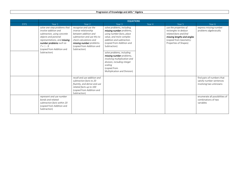|             | <b>EQUATIONS</b>                                                                                                                                                                                                                              |                                                                                                                                                                                                         |                                                                                                                                                                                                                                                                                                                                                                            |        |                                                                                                                                                          |                                                                                                                    |
|-------------|-----------------------------------------------------------------------------------------------------------------------------------------------------------------------------------------------------------------------------------------------|---------------------------------------------------------------------------------------------------------------------------------------------------------------------------------------------------------|----------------------------------------------------------------------------------------------------------------------------------------------------------------------------------------------------------------------------------------------------------------------------------------------------------------------------------------------------------------------------|--------|----------------------------------------------------------------------------------------------------------------------------------------------------------|--------------------------------------------------------------------------------------------------------------------|
| <b>EYFS</b> | Year 1                                                                                                                                                                                                                                        | Year 2                                                                                                                                                                                                  | Year 3                                                                                                                                                                                                                                                                                                                                                                     | Year 4 | Year 5                                                                                                                                                   | Year 6                                                                                                             |
|             | solve one-step problems that<br>involve addition and<br>subtraction, using concrete<br>objects and pictorial<br>representations, and <b>missing</b><br>number problems such as<br>$7 = \Box - 9$<br>(copied from Addition and<br>Subtraction) | recognise and use the<br>inverse relationship<br>between addition and<br>subtraction and use this to<br>check calculations and<br>missing number problems.<br>(copied from Addition and<br>Subtraction) | solve problems, including<br>missing number problems,<br>using number facts, place<br>value, and more complex<br>addition and subtraction.<br>(copied from Addition and<br>Subtraction)<br>solve problems, including<br>missing number problems,<br>involving multiplication and<br>division, including integer<br>scaling<br>(copied from<br>Multiplication and Division) |        | use the properties of<br>rectangles to deduce<br>related facts and find<br>missing lengths and angles<br>(copied from Geometry:<br>Properties of Shapes) | express missing number<br>problems algebraically                                                                   |
|             | represent and use number                                                                                                                                                                                                                      | recall and use addition and<br>subtraction facts to 20<br>fluently, and derive and use<br>related facts up to 100<br>(copied from Addition and<br>Subtraction)                                          |                                                                                                                                                                                                                                                                                                                                                                            |        |                                                                                                                                                          | find pairs of numbers that<br>satisfy number sentences<br>involving two unknowns<br>enumerate all possibilities of |
|             | bonds and related<br>subtraction facts within 20<br>(copied from Addition and<br>Subtraction)                                                                                                                                                 |                                                                                                                                                                                                         |                                                                                                                                                                                                                                                                                                                                                                            |        |                                                                                                                                                          | combinations of two<br>variables                                                                                   |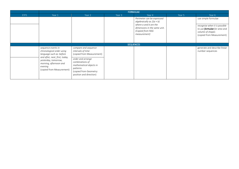|             | <b>FORMULAE</b>                                                                                                          |                                                                                                                                  |        |                                                                                                                                                        |        |                                                                                                                                              |
|-------------|--------------------------------------------------------------------------------------------------------------------------|----------------------------------------------------------------------------------------------------------------------------------|--------|--------------------------------------------------------------------------------------------------------------------------------------------------------|--------|----------------------------------------------------------------------------------------------------------------------------------------------|
| <b>EYFS</b> | Year 1                                                                                                                   | Year 2                                                                                                                           | Year 3 | Year 4                                                                                                                                                 | Year 5 | Year 6                                                                                                                                       |
|             |                                                                                                                          |                                                                                                                                  |        | Perimeter can be expressed<br>algebraically as $2(a + b)$<br>where a and b are the<br>dimensions in the same unit.<br>(Copied from NSG<br>measurement) |        | use simple formulae<br>recognise when it is possible<br>to use <b>formulae</b> for area and<br>volume of shapes<br>(copied from Measurement) |
|             |                                                                                                                          |                                                                                                                                  |        | <b>SEQUENCES</b>                                                                                                                                       |        |                                                                                                                                              |
|             | sequence events in<br>chronological order using<br>language such as: before                                              | compare and sequence<br>intervals of time<br>(copied from Measurement)                                                           |        |                                                                                                                                                        |        | generate and describe linear<br>number sequences                                                                                             |
|             | and after, next, first, today,<br>yesterday, tomorrow,<br>morning, afternoon and<br>evening<br>(copied from Measurement) | order and arrange<br>combinations of<br>mathematical objects in<br>patterns<br>(copied from Geometry:<br>position and direction) |        |                                                                                                                                                        |        |                                                                                                                                              |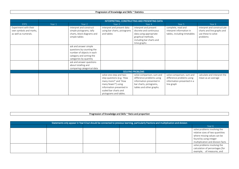## Progression of Knowledge and Skills ~ Statistics

|                        | INTERPRETING, CONSTRUCTING AND PRESENTING DATA |                            |                              |                           |                              |                             |  |
|------------------------|------------------------------------------------|----------------------------|------------------------------|---------------------------|------------------------------|-----------------------------|--|
| <b>EYFS</b>            | Year 1                                         | Year 2                     | Year 3                       | Year 4                    | Year 5                       | Year 6                      |  |
| Experiment with their  |                                                | interpret and construct    | interpret and present data   | interpret and present     | complete, read and           | interpret and construct pie |  |
| own symbols and marks, |                                                | simple pictograms, tally   | using bar charts, pictograms | discrete and continuous   | interpret information in     | charts and line graphs and  |  |
| as well as numerals.   |                                                | charts, block diagrams and | and tables                   | data using appropriate    | tables, including timetables | use these to solve          |  |
|                        |                                                | simple tables              |                              | graphical methods,        |                              | problems                    |  |
|                        |                                                |                            |                              | including bar charts and  |                              |                             |  |
|                        |                                                |                            |                              | time graphs               |                              |                             |  |
|                        |                                                | ask and answer simple      |                              |                           |                              |                             |  |
|                        |                                                | questions by counting the  |                              |                           |                              |                             |  |
|                        |                                                | number of objects in each  |                              |                           |                              |                             |  |
|                        |                                                | category and sorting the   |                              |                           |                              |                             |  |
|                        |                                                | categories by quantity     |                              |                           |                              |                             |  |
|                        |                                                | ask and answer questions   |                              |                           |                              |                             |  |
|                        |                                                | about totalling and        |                              |                           |                              |                             |  |
|                        |                                                | comparing categorical data |                              |                           |                              |                             |  |
|                        | <b>SOLVING PROBLEMS</b>                        |                            |                              |                           |                              |                             |  |
|                        |                                                |                            | solve one-step and two-      | solve comparison, sum and | solve comparison, sum and    | calculate and interpret the |  |
|                        |                                                |                            | step questions [e.g. 'How    | difference problems using | difference problems using    | mean as an average          |  |
|                        |                                                |                            | many more?' and 'How         | information presented in  | information presented in a   |                             |  |
|                        |                                                |                            | many fewer?'] using          | bar charts, pictograms,   | line graph                   |                             |  |
|                        |                                                |                            | information presented in     | tables and other graphs.  |                              |                             |  |
|                        |                                                |                            | scaled bar charts and        |                           |                              |                             |  |
|                        |                                                |                            | pictograms and tables.       |                           |                              |                             |  |

#### Progression of Knowledge and Skills ~ Ratio and proportion

| Statements only appear in Year 6 but should be connected to previous learning, particularly fractions and multiplication and division |  |  |  |  |                                                                                                                                                                |  |
|---------------------------------------------------------------------------------------------------------------------------------------|--|--|--|--|----------------------------------------------------------------------------------------------------------------------------------------------------------------|--|
|                                                                                                                                       |  |  |  |  | Year 6                                                                                                                                                         |  |
|                                                                                                                                       |  |  |  |  | solve problems involving the<br>relative sizes of two quantities<br>where missing values can be<br>found by using integer<br>multiplication and division facts |  |
|                                                                                                                                       |  |  |  |  | solve problems involving the<br>calculation of percentages [for<br>example, of measures, and                                                                   |  |